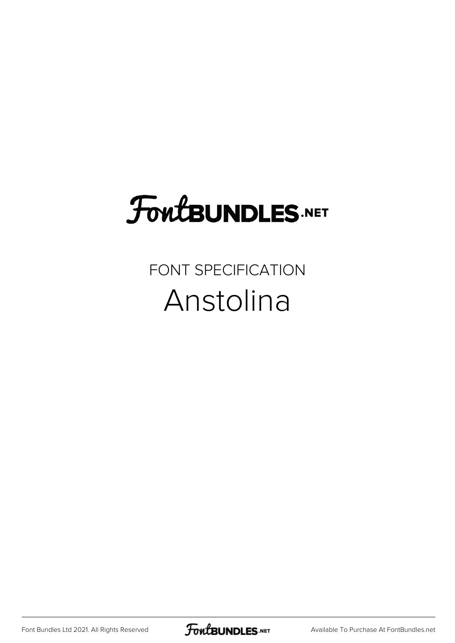## **FoutBUNDLES.NET**

## FONT SPECIFICATION Anstolina

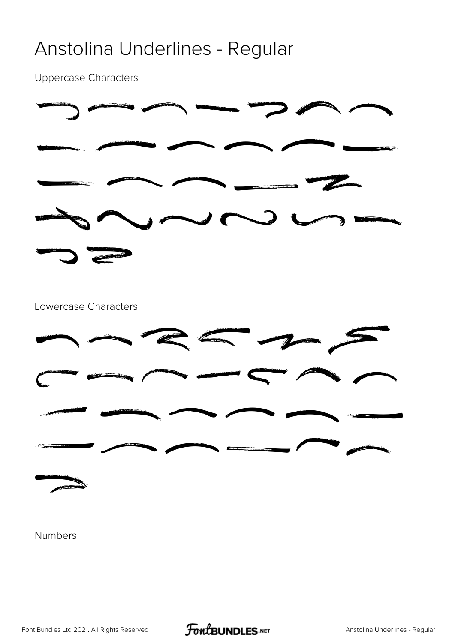## Anstolina Underlines - Regular

Uppercase Characters



Lowercase Characters



Numbers

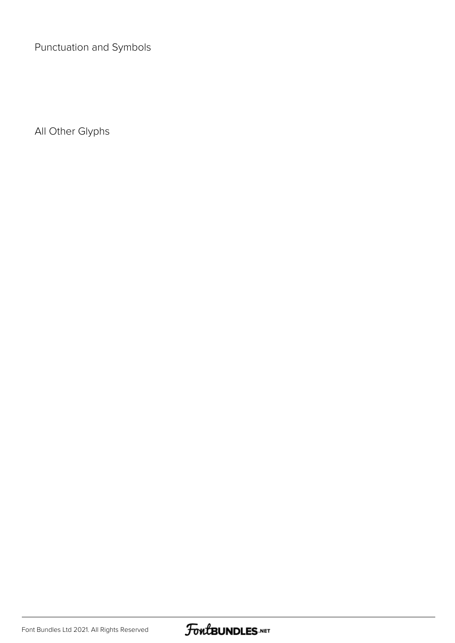Punctuation and Symbols

All Other Glyphs

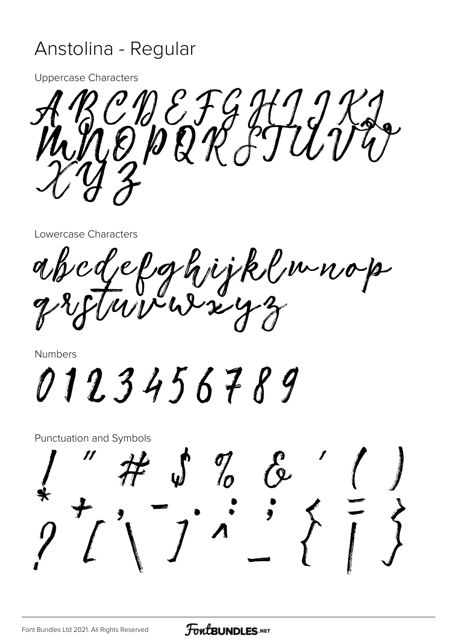## Anstolina - Regular

**Uppercase Characters** 

MEFGH1  $\mathcal{L}(\mathcal{E})$ 

Lowercase Characters

'elghijklmnop

Numbers

0123456789

**Punctuation and Symbols**  $\frac{\sigma}{\rho}$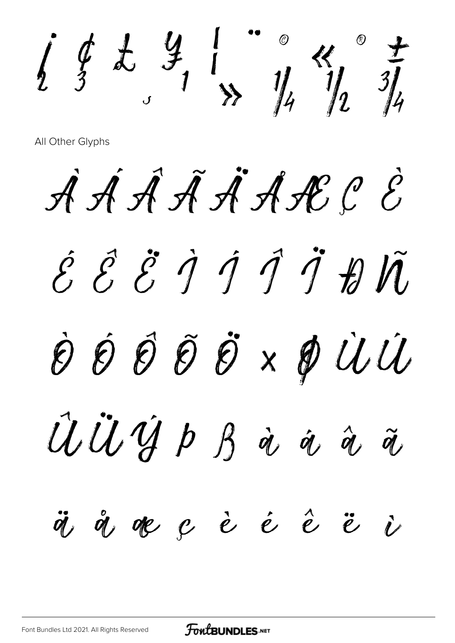$\oint_{2} f L \oint_{3} \frac{1}{x} \int_{3}^{x} \frac{1}{x} \frac{d}{dx} \frac{1}{x}$ 

All Other Glyphs

AAAAÄARCE ÉÊËJJJJHV  $\dot{\theta}$   $\dot{\theta}$   $\ddot{\theta}$   $\ddot{\theta}$   $\dot{\theta}$   $\dot{\theta}$   $\dot{\theta}$   $\dot{\theta}$   $\dot{\theta}$ UÜÝPBàáãã ä å æ ç è é ê ë i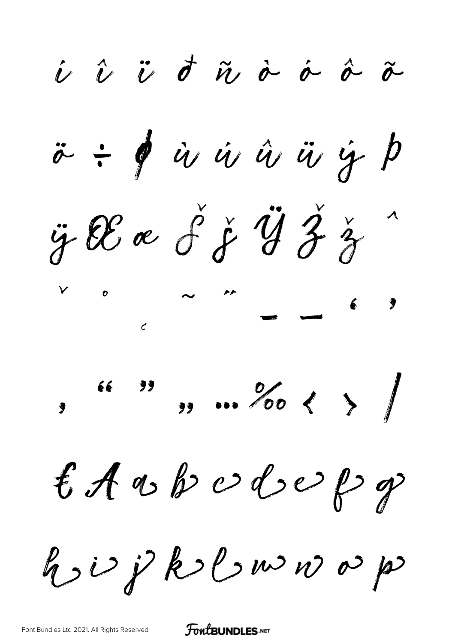i î ï đñ à á â ã ö ÷ Į iv iv û iv ý þ y le a d'if il z'y  $\begin{matrix} V & 0 \end{matrix}$ EAU bodepp hi is j'hols no n os p

FontBUNDLES.NET